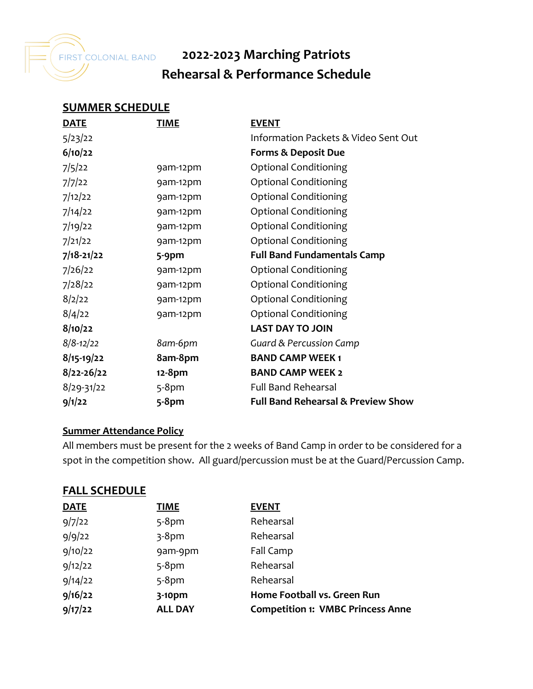

# **2022-2023 Marching Patriots Rehearsal & Performance Schedule**

#### **SUMMER SCHEDULE**

| <b>DATE</b>    | <b>TIME</b> | <b>EVENT</b>                                  |
|----------------|-------------|-----------------------------------------------|
| 5/23/22        |             | Information Packets & Video Sent Out          |
| 6/10/22        |             | <b>Forms &amp; Deposit Due</b>                |
| 7/5/22         | 9am-12pm    | <b>Optional Conditioning</b>                  |
| 7/7/22         | 9am-12pm    | <b>Optional Conditioning</b>                  |
| 7/12/22        | 9am-12pm    | <b>Optional Conditioning</b>                  |
| 7/14/22        | 9am-12pm    | <b>Optional Conditioning</b>                  |
| 7/19/22        | 9am-12pm    | <b>Optional Conditioning</b>                  |
| 7/21/22        | 9am-12pm    | <b>Optional Conditioning</b>                  |
| $7/18 - 21/22$ | $5-9$ pm    | <b>Full Band Fundamentals Camp</b>            |
| 7/26/22        | 9am-12pm    | <b>Optional Conditioning</b>                  |
| 7/28/22        | 9am-12pm    | <b>Optional Conditioning</b>                  |
| 8/2/22         | 9am-12pm    | <b>Optional Conditioning</b>                  |
| 8/4/22         | 9am-12pm    | <b>Optional Conditioning</b>                  |
| 8/10/22        |             | <b>LAST DAY TO JOIN</b>                       |
| $8/8 - 12/22$  | 8am-6pm     | <b>Guard &amp; Percussion Camp</b>            |
| $8/15-19/22$   | 8am-8pm     | <b>BAND CAMP WEEK1</b>                        |
| $8/22 - 26/22$ | 12-8pm      | <b>BAND CAMP WEEK 2</b>                       |
| $8/29 - 31/22$ | $5-8$ pm    | <b>Full Band Rehearsal</b>                    |
| 9/1/22         | $5-8$ pm    | <b>Full Band Rehearsal &amp; Preview Show</b> |

#### **Summer Attendance Policy**

All members must be present for the 2 weeks of Band Camp in order to be considered for a spot in the competition show. All guard/percussion must be at the Guard/Percussion Camp.

| <b>DATE</b> | <b>TIME</b>    | <b>EVENT</b>                             |
|-------------|----------------|------------------------------------------|
| 9/7/22      | $5-8$ pm       | Rehearsal                                |
| 9/9/22      | $3-8$ pm       | Rehearsal                                |
| 9/10/22     | 9am-9pm        | Fall Camp                                |
| 9/12/22     | $5-8$ pm       | Rehearsal                                |
| 9/14/22     | $5-8$ pm       | Rehearsal                                |
| 9/16/22     | 3-10pm         | Home Football vs. Green Run              |
| 9/17/22     | <b>ALL DAY</b> | <b>Competition 1: VMBC Princess Anne</b> |
|             |                |                                          |

## **FALL SCHEDULE**